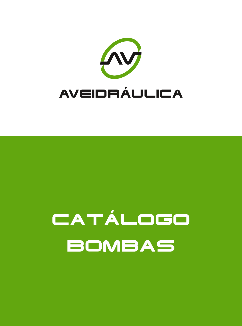

# CATÁLOGO **BOMBAS**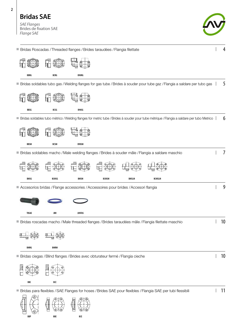*SAE Flanges* Brides de fixation SAE *Flange SAE*

**BBP BBE BCE**



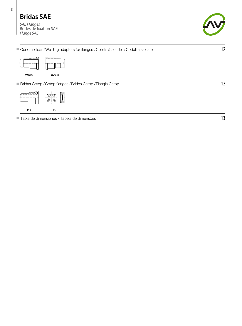| <b>Bridas SAE</b><br><b>SAE Flanges</b><br><b>Brides de fixation SAE</b><br>Flange SAE |                   |
|----------------------------------------------------------------------------------------|-------------------|
| Conos soldar / Welding adaptors for flanges / Collets à souder / Codoli a saldare      | 12                |
|                                                                                        |                   |
| <b>BSM31/61</b><br>BSM30/60                                                            |                   |
| Bridas Cetop / Cetop flanges / Brides Cetop / Flangia Cetop<br>ш                       | $12 \overline{ }$ |
|                                                                                        |                   |
| <b>BCTS</b><br>BCT                                                                     |                   |
| Tabla de dimensiones / Tabela de dimensões                                             | 13                |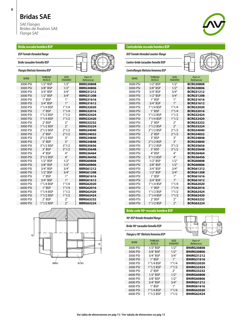*SAE Flanges* Brides de fixation SAE *Flange SAE*



#### **Brida roscada hembra BSP**

| <b>BSP Female threaded flange</b> |  |  |
|-----------------------------------|--|--|
|-----------------------------------|--|--|

### **Bride taraudée femelle BSP**

#### *Flangia filettata femmina BSP*

| <b>SERIE</b> | THREAD<br><b>ROSCA</b> | <b>SIZE</b><br><b>TAMAÑO</b> | Part nº<br>Referencia |
|--------------|------------------------|------------------------------|-----------------------|
| 3000 PSI     | $1/2"$ BSP             | 1/2"                         | <b>BBRG30808</b>      |
| 3000 PSI     | 3/8" BSP               | 1/2"                         | <b>BBRG30806</b>      |
| 3000 PSI     | 3/4" BSP               | 3/4"                         | <b>BBRG31212</b>      |
| 3000 PSI     | 1/2" BSP               | 3/4"                         | <b>BBRG31208</b>      |
| 3000 PSI     | 1" BSP                 | 1"                           | <b>BBRG31616</b>      |
| 3000 PSI     | 3/4" BSP               | 1"                           | <b>BBRG31612</b>      |
| 3000 PSI     | 1"1/4 BSP              | 1"1/4                        | <b>BBRG32020</b>      |
| 3000 PSI     | 1" BSP                 | 1"1/4                        | <b>BBRG32016</b>      |
| 3000 PSI     | 1"1/2 BSP              | 1"1/2                        | <b>BBRG32424</b>      |
| 3000 PSI     | 1"1/4 BSP              | 1"1/2                        | <b>BBRG32420</b>      |
| 3000 PSI     | 2" BSP                 | 2"                           | <b>BBRG33232</b>      |
| 3000 PSI     | 1"1/2 BSP              | 2"                           | <b>BBRG33224</b>      |
| 3000 PSI     | 2"1/2 BSP              | 2"1/2                        | <b>BBRG34040</b>      |
| 3000 PSI     | 2" BSP                 | 2"1/2                        | <b>BBRG34032</b>      |
| 3000 PSI     | 2"1/2 BSP              | 3"                           | <b>BBRG34840</b>      |
| 3000 PSI     | 3" BSP                 | 3"                           | <b>BBRG34848</b>      |
| 3000 PSI     | 3"1/2 BSP              | 3"1/2                        | <b>BBRG35656</b>      |
| 3000 PSI     | 3" BSP                 | 3"1/2                        | <b>BBRG35648</b>      |
| 3000 PSI     | 4" BSP                 | 4"                           | <b>BBRG36464</b>      |
| 3000 PSI     | 3"1/2 BSP              | 4"                           | <b>BBRG36456</b>      |
| 6000 PSI     | $1/2"$ BSP             | 1/2"                         | <b>BBRG60808</b>      |
| 6000 PSI     | 3/8" BSP               | 1/2"                         | <b>BBRG60806</b>      |
| 6000 PSI     | 3/4" BSP               | 3/4"                         | <b>BBRG61212</b>      |
| 6000 PSI     | 1/2" BSP               | 3/4"                         | <b>BBRG61208</b>      |
| 6000 PSI     | 1" BSP                 | 1"                           | <b>BBRG61616</b>      |
| 6000 PSI     | 3/4" BSP               | 1"                           | <b>BBRG61612</b>      |
| 6000 PSI     | 1"1/4 BSP              | 1"1/4                        | <b>BBRG62020</b>      |
| 6000 PSI     | 1" BSP                 | 1"1/4                        | <b>BBRG62016</b>      |
| 6000 PSI     | 1"1/4 BSP              | 1"1/2                        | <b>BBRG62420</b>      |
| 6000 PSI     | 1"1/2 BSP              | 1"1/2                        | <b>BBRG62424</b>      |
| 6000 PSI     | 2" BSP                 | 2"                           | <b>BBRG63232</b>      |
| 6000 PSI     | 1"1/2 BSP              | 2"                           | <b>BBRG63224</b>      |





#### **Contrabrida roscada hembra BSP**

*BSP Femalethreaded counter-flange*

**Contre-bride taraudée femelle BSP** 





| <b>SERIE</b> | <b>THREAD</b><br><b>ROSCA</b> | <b>SIZE</b><br><b>TAMAÑO</b> | Part nº<br>Referencia |
|--------------|-------------------------------|------------------------------|-----------------------|
| 3000 PSI     | 1/2" BSP                      | 1/2"                         | <b>BCRG30808</b>      |
| 3000 PSI     | 3/8" BSP                      | 1/2"                         | <b>BCRG30806</b>      |
| 3000 PSI     | 3/4" BSP                      | 3/4"                         | <b>BCRG31212</b>      |
| 3000 PSI     | 1/2" BSP                      | 3/4"                         | <b>BCRG31208</b>      |
| 3000 PSI     | 1" BSP                        | 1"                           | <b>BCRG31616</b>      |
| 3000 PSI     | 3/4" BSP                      | 1"                           | <b>BCRG31612</b>      |
| 3000 PSI     | 1"1/4 BSP                     | 1"1/4                        | <b>BCRG32020</b>      |
| 3000 PSI     | 1" BSP                        | 1"1/4                        | <b>BCRG32016</b>      |
| 3000 PSI     | 1"1/2 BSP                     | 1"1/2                        | <b>BCRG32424</b>      |
| 3000 PSI     | 1"1/4 BSP                     | 1"1/2                        | <b>BCRG32420</b>      |
| 3000 PSI     | 2" BSP                        | 2"                           | <b>BCRG33232</b>      |
| 3000 PSI     | 1"1/2 BSP                     | 2"                           | <b>BCRG33224</b>      |
| 3000 PSI     | 2"1/2 BSP                     | 2"1/2                        | <b>BCRG34040</b>      |
| 3000 PSI     | 2" BSP                        | 2"1/2                        | <b>BCRG34032</b>      |
| 3000 PSI     | 3" BSP                        | 3"                           | <b>BCRG34848</b>      |
| 3000 PSI     | 2"1/2 BSP                     | 3"                           | <b>BCRG34840</b>      |
| 3000 PSI     | 3"1/2 BSP                     | 3"1/2                        | <b>BCRG35656</b>      |
| 3000 PSI     | 3" BSP                        | 3"1/2                        | <b>BCRG35648</b>      |
| 3000 PSI     | 4" BSP                        | 4"                           | <b>BCRG36464</b>      |
| 3000 PSI     | 3"1/2 BSP                     | 4"                           | <b>BCRG36456</b>      |
| 6000 PSI     | $1/2"$ BSP                    | 1/2"                         | <b>BCRG60808</b>      |
| 6000 PSI     | 3/8" BSP                      | 1/2"                         | <b>BCRG60806</b>      |
| 6000 PSI     | 3/4" BSP                      | 3/4"                         | <b>BCRG61212</b>      |
| 6000 PSI     | $1/2"$ BSP                    | 3/4"                         | <b>BCRG61208</b>      |
| 6000 PSI     | 1" BSP                        | 1"                           | <b>BCRG61616</b>      |
| 6000 PSI     | 3/4" BSP                      | 1"                           | <b>BCRG61612</b>      |
| 6000 PSI     | 1"1/4 BSP                     | 1"1/4                        | <b>BCRG62020</b>      |
| 6000 PSI     | 1" BSP                        | 1"1/4                        | <b>BCRG62016</b>      |
| 6000 PSI     | 1"1/2 BSP                     | 1"1/2                        | <b>BCRG62424</b>      |
| 6000 PSI     | 1"1/4 BSP                     | 1"1/2                        | <b>BCRG62420</b>      |
| 6000 PSI     | 2" BSP                        | 2"                           | <b>BCRG63232</b>      |
| 6000 PSI     | 1"1/2 BSP                     | 2"                           | <b>BCRG63224</b>      |

#### **Brida codo 90º roscada hembra BSP**

*90º BSP femalethreaded flange*

**Bride 90° taraudée femelle BSP** *Flangia a 90° filettata femmina BSP*



| <b>SERIE</b> | <b>THREAD</b><br><b>ROSCA</b> | <b>SIZE</b><br><b>TAMAÑO</b> | Part nº<br>Referencia |
|--------------|-------------------------------|------------------------------|-----------------------|
| 3000 PSI     | 1/2" BSP                      | 1/2"                         | <b>B90RG30808</b>     |
| 3000 PSI     | 3/8" BSP                      | 1/2"                         | <b>B90RG30806</b>     |
| 3000 PSI     | 3/4" BSP                      | 3/4"                         | B90RG31212            |
| 3000 PSI     | 1" BSP                        | 1"                           | B90RG31616            |
| 3000 PSI     | 1"1/4 BSP                     | 1"1/4                        | <b>B90RG32020</b>     |
| 3000 PSI     | 1"1/2 BSP                     | 1"1/2                        | <b>B90RG32424</b>     |
| 3000 PSI     | 2" BSP                        | ን"                           | B90RG33232            |
| 6000 PSI     | $1/2$ " BSP                   | 1/2"                         | <b>B90RG60808</b>     |
| 6000 PSI     | 3/8" BSP                      | 1/2"                         | <b>B90RG60806</b>     |
| 6000 PSI     | 3/4" BSP                      | 3/4"                         | B90RG61212            |
| 6000 PSI     | 1" BSP                        | 1"                           | <b>B90RG61616</b>     |
| 6000 PSI     | 1"1/4 BSP                     | 1"1/4                        | <b>B90RG62020</b>     |
| 6000 PSI     | 1"1/2 BSP                     | 1"1/2                        | <b>B90RG62424</b>     |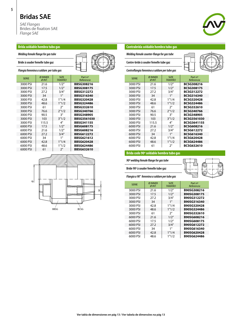*SAE Flanges* Brides de fixation SAE *Flange SAE*



#### **Brida soldable hembra tubo gas**



### *Flangia femmina a saldare pertubo gas*

| <b>SERIE</b> | Ø INNER<br>ØINT. | <b>SIZE</b><br><b>TAMAÑO</b> | Part nº<br>Referencia |
|--------------|------------------|------------------------------|-----------------------|
| 3000 PSI     | 21.6             | 1/2"                         | <b>BBSG308216</b>     |
| 3000 PSI     | 17.5             | 1/2"                         | <b>BBSG308175</b>     |
| 3000 PSI     | 27.2             | 3/4"                         | <b>BBSG312272</b>     |
| 3000 PSI     | 34               | 1"                           | <b>BBSG316340</b>     |
| 3000 PSI     | 42.8             | 1"1/4                        | <b>BBSG320428</b>     |
| 3000 PSI     | 48.6             | 1"1/2                        | <b>BBSG324486</b>     |
| 3000 PSI     | 61               | 2"                           | <b>BBSG332610</b>     |
| 3000 PSI     | 76.6             | 2"1/2                        | <b>BBSG340766</b>     |
| 3000 PSI     | 90.5             | 3"                           | <b>BBSG348905</b>     |
| 3000 PSI     | 103              | 3"1/2                        | <b>BBSG3561030</b>    |
| 3000 PSI     | 115.5            | 4"                           | <b>BBSG341155</b>     |
| 6000 PSI     | 17.5             | 1/2"                         | <b>BBSG608175</b>     |
| 6000 PSI     | 21.6             | 1/2"                         | <b>BBSG608216</b>     |
| 6000 PSI     | 27.2             | 3/4"                         | <b>BBSG612272</b>     |
| 6000 PSI     | 34               | 1"                           | <b>BBSG621612</b>     |
| 6000 PSI     | 42.8             | 1"1/4                        | <b>BBSG620428</b>     |
| 6000 PSI     | 48.6             | 1"1/2                        | <b>BBSG624486</b>     |
| 6000 PSI     | 61               | 2"                           | <b>BBSG632610</b>     |



#### **Contrabrida soldable hembra tubo gas**

**Welding female counter-flange for gas tube** 

**Contre-brideàsouder femelletube gaz**

*Controflangia femmina a saldare pertubo gas*

| <b>SERIE</b> | Ø INNER<br>Ø INT. | <b>SIZE</b><br><b>TAMAÑO</b> | Part nº<br>Referencia |
|--------------|-------------------|------------------------------|-----------------------|
| 3000 PSI     | 21.6              | 1/2"                         | <b>BCSG308216</b>     |
| 3000 PSI     | 17.5              | 1/2"                         | <b>BCSG308175</b>     |
| 3000 PSI     | 27.2              | 3/4"                         | <b>BCSG312272</b>     |
| 3000 PSI     | 34                | 1"                           | <b>BCSG316340</b>     |
| 3000 PSI     | 42.8              | 1"1/4                        | <b>BCSG320428</b>     |
| 3000 PSI     | 48.6              | 1"1/2                        | <b>BCSG324486</b>     |
| 3000 PSI     | 61                | ን"                           | <b>BCSG332610</b>     |
| 3000 PSI     | 76.6              | 2"1/2                        | <b>BCSG340766</b>     |
| 3000 PSI     | 90.5              | 3"                           | <b>BCSG348905</b>     |
| 3000 PSI     | 103               | 3"1/2                        | <b>BCSG3561030</b>    |
| 3000 PSI     | 115.5             | 4"                           | <b>BCSG3641155</b>    |
| 6000 PSI     | 21.6              | 1/2"                         | <b>BCSG608216</b>     |
| 6000 PSI     | 27.2              | 3/4"                         | <b>BCSG612272</b>     |
| 6000 PSI     | 34                | 1"                           | <b>BCSG616340</b>     |
| 6000 PSI     | 42.8              | 1"1/4                        | <b>BCSG620428</b>     |
| 6000 PSI     | 48.6              | 1"1/2                        | <b>BCSG624486</b>     |
| 6000 PSI     | 61                | 2"                           | BCSG632610            |



# **Brida codo 90º soldable hembra tubo gas**

#### *90ºwelding female flangefor gas tube*

**Bride 90º àsouder femelletube gaz**

*Flangia a 90° femmina a saldare per tubo gas*

| <b>SERIE</b> | Ø INNER<br>ØINT. | <b>SIZE</b><br><b>TAMAÑO</b> | Part nº<br>Referencia |
|--------------|------------------|------------------------------|-----------------------|
| 3000 PSI     | 21.6             | 1/2"                         | B90SG308216           |
| 3000 PSI     | 17.5             | 1/2"                         | B90SG308175           |
| 3000 PSI     | 27.2             | 3/4"                         | B90SG312272           |
| 3000 PSI     | 34               | 1"                           | B90SG316340           |
| 3000 PSI     | 42.8             | 1"1/4                        | B90SG320428           |
| 3000 PSI     | 48.6             | 1"1/2                        | B90SG324486           |
| 3000 PSI     | 61               | 2"                           | B90SG332610           |
| 6000 PSI     | 21.6             | 1/2"                         | B90SG608216           |
| 6000 PSI     | 17.5             | 1/2"                         | B90SG608175           |
| 6000 PSI     | 27.2             | 3/4"                         | B90SG612272           |
| 6000 PSI     | 34               | 1"                           | B90SG616340           |
| 6000 PSI     | 42.8             | 1"1/4                        | B90SG620428           |
| 6000 PSI     | 48.6             | 1"1/2                        | B90SG624486           |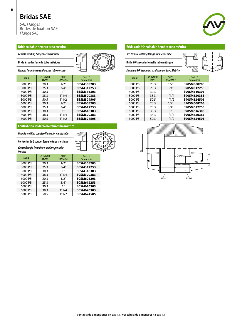*SAE Flanges* Brides de fixation SAE *Flange SAE*



#### **Brida soldable hembra tubo métrico**

| Female welding flange for metric tube |  |
|---------------------------------------|--|
|                                       |  |





#### *Flangia femmina a saldare pertubo Metrico*

| <b>SERIE</b> | Ø INNER<br>Ø INT. | <b>SIZE</b><br>TAMAÑO | Part nº<br>Referencia |
|--------------|-------------------|-----------------------|-----------------------|
| 3000 PSI     | 20.3              | 1/2"                  | <b>BBSM308203</b>     |
| 3000 PSI     | 25.3              | 3/4"                  | <b>BBSM312253</b>     |
| 3000 PSI     | 30.3              | 1"                    | <b>BBSM316303</b>     |
| 3000 PSI     | 38.3              | 1"1/4                 | <b>BBSM320383</b>     |
| 3000 PSI     | 50.5              | 1"1/2                 | <b>BBSM324505</b>     |
| 6000 PSI     | 20.3              | 1/2"                  | <b>BBSM608203</b>     |
| 6000 PSI     | 25.3              | 3/4"                  | <b>BBSM612253</b>     |
| 6000 PSI     | 30.3              | 1"                    | <b>BBSM616303</b>     |
| 6000 PSI     | 38.3              | 1"1/4                 | <b>BBSM620383</b>     |
| 6000 PSI     | 50.5              | 1"1/2                 | <b>BBSM624505</b>     |

#### **Contrabrida soldable hembra tubo métrico**

#### **Female welding counter-flange for metric tube**

**Contre-brideàsouder femelletubemétrique**

*Controflangia femmina a saldare pertubo Metrico*

| <b>SERIE</b> | Ø INNER<br>Ø INT. | <b>SIZE</b><br><b>TAMAÑO</b> | Part nº<br>Referencia |
|--------------|-------------------|------------------------------|-----------------------|
| 3000 PSI     | 20.3              | 1/2"                         | <b>BCSM308203</b>     |
| 3000 PSI     | 25.3              | 3/4"                         | <b>BCSM312253</b>     |
| 3000 PSI     | 30.3              | 1"                           | <b>BCSM316303</b>     |
| 3000 PSI     | 38.3              | 1"1/4                        | <b>BCSM320383</b>     |
| 6000 PSI     | 20.3              | 1/2"                         | <b>BCSM608203</b>     |
| 6000 PSI     | 25.3              | 3/4"                         | <b>BCSM612253</b>     |
| 6000 PSI     | 30.3              | 1"                           | <b>BCSM616303</b>     |
| 6000 PSI     | 38.3              | 1"1/4                        | <b>BCSM620383</b>     |
| 6000 PSI     | 50.5              | 1"1/2                        | <b>BCSM624505</b>     |
|              |                   |                              |                       |



*90ºfemalewelding flangeformetric tube*

**Bride 90º àsouder femelletubemétrique**

*Flangia a 90° femmina a saldare pertubo Metrico*

| <b>SERIE</b> | Ø INNER<br>Ø INT. | <b>SIZE</b><br><b>TAMAÑO</b> | Part nº<br>Referencia |
|--------------|-------------------|------------------------------|-----------------------|
| 3000 PSI     | 20.3              | 1/2"                         | B90SM308203           |
| 3000 PSI     | 25.3              | 3/4"                         | B90SM312253           |
| 3000 PSI     | 30.3              | 1"                           | B90SM316303           |
| 3000 PSI     | 38.3              | 1"1/4                        | B90SM320383           |
| 3000 PSI     | 50.5              | 1"1/2                        | B90SM324505           |
| 6000 PSI     | 20.3              | 1/2"                         | B90SM608203           |
| 6000 PSI     | 25.3              | 3/4"                         | B90SM612253           |
| 6000 PSI     | 30.3              | 1"                           | B90SM616303           |
| 6000 PSI     | 38.3              | 1"1/4                        | B90SM620383           |
| 6000 PSI     | 50.3              | 1"1/2                        | B90SM624503           |
|              |                   |                              |                       |



|   | <b>JU.J</b> | $\frac{1}{2}$ | <u>USUULIVATSUS</u> |   |
|---|-------------|---------------|---------------------|---|
|   |             |               |                     |   |
|   |             |               |                     |   |
| Ø |             |               | 44                  | Σ |
|   |             |               |                     |   |
|   |             | <b>BBSM</b>   | <b>BCSM</b>         |   |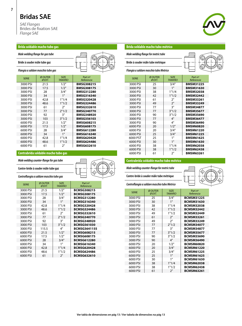*SAE Flanges* Brides de fixation SAE *Flange SAE*



#### **Brida soldable macho tubo gas**

#### **Brideàsoudermâletube gaz**

| Flangia a saldare maschio tubo gas |  |
|------------------------------------|--|
|------------------------------------|--|

| <b>SERIE</b> | Ø OUTER<br>ØEXT. | <b>SIZE</b><br><b>TAMAÑO</b> | Part nº<br>Referencia |
|--------------|------------------|------------------------------|-----------------------|
| 3000 PSI     | 21.5             | 1/2"                         | <b>BMSG308215</b>     |
| 3000 PSI     | 17.5             | 1/2"                         | <b>BMSG308175</b>     |
| 3000 PSI     | 28               | 3/4"                         | <b>BMSG312280</b>     |
| 3000 PSI     | 34               | 1"                           | <b>BMSG316340</b>     |
| 3000 PSI     | 42.8             | 1"1/4                        | <b>BMSG320428</b>     |
| 3000 PSI     | 48.6             | 1"1/2                        | <b>BMSG324486</b>     |
| 3000 PSI     | 61               | ን"                           | <b>BMSG332610</b>     |
| 3000 PSI     | 77               | 2"1/2                        | <b>BMSG340770</b>     |
| 3000 PSI     | 92               | 3"                           | <b>BMSG348920</b>     |
| 3000 PSI     | 103              | 3"1/2                        | <b>BMSG356103</b>     |
| 6000 PSI     | 21.5             | 1/2"                         | <b>BMSG608215</b>     |
| 6000 PSI     | 17.5             | 1/2"                         | <b>BMSG608175</b>     |
| 6000 PSI     | 28               | 3/4"                         | <b>BMSG612280</b>     |
| 6000 PSI     | 34               | 1"                           | <b>BMSG616340</b>     |
| 6000 PSI     | 42.8             | 1"1/4                        | <b>BMSG620428</b>     |
| 6000 PSI     | 48.6             | 1"1/2                        | <b>BMSG624486</b>     |
| 6000 PSI     | 61               | ን"                           | <b>BMSG632610</b>     |

#### **Contrabrida soldable macho tubo gas**

#### *Male welding counter-flangefor gas tube*



**Contre-brideàsoudermâletube gaz**

| <b>SERIE</b> | Ø OUTER<br>ØEXT. | <b>SIZE</b><br>TAMAÑO | Part nº<br>Referencia |
|--------------|------------------|-----------------------|-----------------------|
| 3000 PSI     | 21.5             | 1/2"                  | <b>BCMSG308215</b>    |
| 3000 PSI     | 17.5             | 1/2"                  | <b>BCMSG308175</b>    |
| 3000 PSI     | 28               | 3/4"                  | <b>BCMSG312280</b>    |
| 3000 PSI     | 34               | 1"                    | <b>BCMSG316340</b>    |
| 3000 PSI     | 42.8             | 1"1/4                 | <b>BCMSG320428</b>    |
| 3000 PSI     | 48.6             | 1"1/2                 | <b>BCMSG324486</b>    |
| 3000 PSI     | 61               | ን"                    | <b>BCMSG332610</b>    |
| 3000 PSI     | 77               | 2"1/2                 | <b>BCMSG340770</b>    |
| 3000 PSI     | 92               | 3"                    | <b>BCMSG348920</b>    |
| 3000 PSI     | 103              | 3"1/2                 | <b>BCMSG561030</b>    |
| 3000 PSI     | 115.5            | 4"                    | <b>BCMSG3641155</b>   |
| 6000 PSI     | 21.5             | 1/2"                  | <b>BCMSG608215</b>    |
| 6000 PSI     | 17.5             | 1/2"                  | <b>BCMSG608175</b>    |
| 6000 PSI     | 28               | 3/4"                  | <b>BCMSG612280</b>    |
| 6000 PSI     | 34               | 1"                    | <b>BCMSG616340</b>    |
| 6000 PSI     | 42.8             | 1"1/4                 | <b>BCMSG620428</b>    |
| 6000 PSI     | 48.6             | 1"1/2                 | <b>BCMSG624486</b>    |
| 6000 PSI     | 61               | 2"                    | <b>BCMSG632610</b>    |

#### **Brida soldable macho tubo métrico**

*Male welding flangefor metric tube*

**Brideàsoudermâletubemétrique**

*Flangia a saldare maschiotuboMetrico*

| <b>SERIE</b> | Ø OUTER<br>ØEXT. | <b>SIZE</b><br><b>TAMAÑO</b> | Part nº<br>Referencia |
|--------------|------------------|------------------------------|-----------------------|
| 3000 PSI     | 25               | 3/4"                         | <b>BMSM31225</b>      |
| 3000 PSI     | 30               | 1"                           | <b>BMSM31630</b>      |
| 3000 PSI     | 38               | 1"1/4                        | <b>BMSM32038</b>      |
| 3000 PSI     | 42               | 1"1/2                        | <b>BMSM32442</b>      |
| 3000 PSI     | 61               | 2"                           | <b>BMSM33261</b>      |
| 3000 PSI     | 49               | 2"                           | <b>BMSM33249</b>      |
| 3000 PSI     | 77               | 3"                           | <b>BMSM34877</b>      |
| 3000 PSI     | 77               | 3"1/2                        | <b>BMSM35677</b>      |
| 3000 PSI     | 90               | 3"1/2                        | <b>BMSM35690</b>      |
| 3000 PSI     | 77               | 4"                           | <b>BMSM36477</b>      |
| 3000 PSI     | 90               | 4"                           | <b>BMSM36490</b>      |
| 6000 PSI     | 20               | 1/2"                         | <b>BMSM60820</b>      |
| 6000 PSI     | 20               | 3/4"                         | <b>BMSM61220</b>      |
| 6000 PSI     | 25               | 3/4"                         | <b>BMSM61225</b>      |
| 6000 PST     | 25               | 1"                           | <b>BMSM61625</b>      |
| 6000 PSI     | 30               | 1"                           | <b>BMSM61630</b>      |
| 6000 PSI     | 38               | 1"1/4                        | <b>BMSM62038</b>      |
| 6000 PSI     | 38               | 1"1/2                        | <b>BMSM62438</b>      |
| 6000 PSI     | 61               | 2"                           | <b>BMSM63261</b>      |

#### **Contrabrida soldable macho tubo métrico**

*Male welding counter-flange for metric tube* 

**Contre-brideàsoudermâletubemétrique**

*Controflangia a saldare maschiotuboMetrico*



| <b>SERIE</b> | Ø OUTER<br>ØEXT. | <b>SIZE</b><br><b>TAMAÑO</b> | Part nº<br>Referencia |
|--------------|------------------|------------------------------|-----------------------|
| 3000 PSI     | 25               | 3/4"                         | <b>BCMSM31225</b>     |
| 3000 PSI     | 30               | 1"                           | <b>BCMSM31630</b>     |
| 3000 PSI     | 38               | 1"1/4                        | <b>BCMSM32038</b>     |
| 3000 PSI     | 42               | 1"1/2                        | <b>BCMSM32442</b>     |
| 3000 PSI     | 49               | 1"1/2                        | <b>BCMSM32449</b>     |
| 3000 PSI     | 61               | 2"                           | <b>BCMSM33261</b>     |
| 3000 PSI     | 49               | 2"                           | <b>BCMSM33249</b>     |
| 3000 PSI     | 77               | 2"1/2                        | <b>BCMSM34077</b>     |
| 3000 PSI     | 77               | 3"                           | <b>BCMSM34877</b>     |
| 3000 PSI     | 77               | 3"1/2                        | <b>BCMSM35677</b>     |
| 3000 PSI     | 90               | 3"1/2                        | <b>BCMSM35690</b>     |
| 3000 PSI     | 90               | 4"                           | <b>BCMSM36490</b>     |
| 6000 PSI     | 20               | 1/2"                         | <b>BCMSM60820</b>     |
| 6000 PSI     | 20               | 3/4"                         | <b>BCMSM61220</b>     |
| 6000 PSI     | 25               | 3/4"                         | <b>BCMSM61225</b>     |
| 6000 PSI     | 25               | 1"                           | <b>BCMSM61625</b>     |
| 6000 PSI     | 30               | 1"                           | <b>BCMSM61630</b>     |
| 6000 PSI     | 38               | 1"1/4                        | <b>BCMSM62038</b>     |
| 6000 PSI     | 38               | 1"1/2                        | <b>BCMSM62438</b>     |
| 6000 PSI     | 61               | 2"                           | <b>BCMSM63261</b>     |

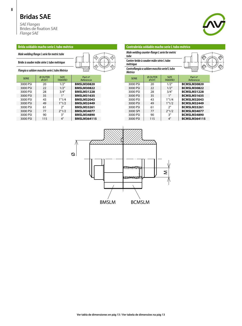*SAE Flanges* Brides de fixation SAE *Flange SAE*



#### **Brida soldable macho serie L tubo métrico**

*Male welding flange L seriefor metric tube*

**BrideàsoudermâlesérieLtubemétrique**



#### *Flangia a saldaremaschioserie L tuboMetrico*

| <b>SERIE</b> | Ø OUTER<br>Ø EXT. | <b>SIZE</b><br><b>TAMAÑO</b> | Part nº<br>Referencia |
|--------------|-------------------|------------------------------|-----------------------|
| 3000 PSI     | 20                | 1/2"                         | <b>BMSLM30820</b>     |
| 3000 PSI     | 22                | 1/2"                         | <b>BMSLM30822</b>     |
| 3000 PSI     | 28                | 3/4"                         | <b>BMSLM31228</b>     |
| 3000 PSI     | 35                | 1"                           | <b>BMSLM31635</b>     |
| 3000 PSI     | 43                | 1"1/4                        | <b>BMSLM32043</b>     |
| 3000 PSI     | 49                | 1"1/2                        | <b>BMSLM32449</b>     |
| 3000 PSI     | 61                | 2"                           | <b>BMSLM33261</b>     |
| 3000 PSI     | 77                | 2"1/2                        | <b>BMSLM34077</b>     |
| 3000 PSI     | 90                | 3"                           | <b>BMSLM34890</b>     |
| 3000 PSI     | 115               | 4"                           | <b>BMSLM364115</b>    |
|              |                   |                              |                       |

#### **Contrabrida soldable macho serie L tubo métrico**

*Male welding counter-flange L seriefor metric* 

*tube* **Contre-brideàsoudermâlesérieLtube métrique** *Controflangia a saldare maschio seriel L tubo Metrico*

| weulu        |                  |                              |                       |
|--------------|------------------|------------------------------|-----------------------|
| <b>SERIE</b> | Ø OUTER<br>ØEXT. | <b>SIZE</b><br><b>TAMAÑO</b> | Part nº<br>Referencia |
| 3000 PSI     | 20               | 1/2"                         | <b>BCMSLM30820</b>    |
| 3000 PSI     | 22               | 1/2"                         | <b>BCMSLM30822</b>    |
| 3000 PSI     | 28               | 3/4"                         | <b>BCMSLM31228</b>    |
| 3000 PSI     | 35               | 1"                           | <b>BCMSLM31635</b>    |
| 3000 PSI     | 43               | 1"1/4                        | <b>BCMSLM32043</b>    |
| 3000 PSI     | 49               | 1"1/2                        | <b>BCMSLM32449</b>    |
| 3000 PSI     | 61               | ን"                           | <b>BCMSLM33261</b>    |
| 3000 SPI     | 77               | 2"1/2                        | <b>BCMSLM34077</b>    |
| 3000 PSI     | 90               | 3"                           | <b>BCMSLM34890</b>    |
| 3000 PSI     | 115              | 4"                           | <b>BCMSLM364115</b>   |
|              |                  |                              |                       |

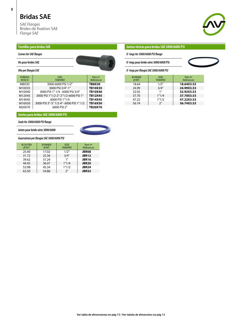### **Bridas SAE**

*SAE Flanges* Brides de fixation SAE *Flange SAE*



#### **Tornillos para bridas SAE**

*ScrewsforSAE flanges*

**Vis pour brides SAE** 



#### *Vite per flangia SAE*

| <b>THREAD</b> | <b>SIZE</b>                            | Part nº        |
|---------------|----------------------------------------|----------------|
| <b>ROSCA</b>  | <b>TAMAÑO</b>                          | Referencia     |
| M8X30         | 3000-6000 PSI 1/2"                     | <b>TB8X30</b>  |
| M10X35        | 3000 PSI 3/4"-1"                       | <b>TB10X35</b> |
| M10X40        | 3000 PSI 1" 1/4 - 6000 PSI 3/4"        | <b>TB10X40</b> |
| M12X45        | 3000 PSI 1"1/2-2"-2"1/2-6000 PSI 1"    | <b>TB12X45</b> |
| M14X45        | 6000 PSI 1"1/4                         | <b>TB14X45</b> |
| M16X50        | 3000 PSI 3"-3" 1/2-4"- 6000 PSI 1" 1/2 | <b>TB16X50</b> |
| M20X70        | 6000 PSI 2"                            | <b>TB20X70</b> |

#### **Juntas para bridas SAE 3000/6000 PSI**

#### *Seals for 3000/6000 PSI flange*

**Joints pour bridesérie 3000/6000**



#### *Guarnizioni per flangia SAE 3000/6000 PSI*

| Ø OUTER<br>ØEXT. | Ø INNER<br>QINT | <b>SIZE</b><br><b>TAMAÑO</b> | Part nº<br>Referencia |
|------------------|-----------------|------------------------------|-----------------------|
| 25.40            | 17.02           | 1/2"                         | <b>JBR08</b>          |
| 31.72            | 23.36           | 3/4"                         | <b>JBR12</b>          |
| 39.62            | 31.24           | 1"                           | <b>JBR16</b>          |
| 44.45            | 36.07           | 1"1/4                        | <b>JBR20</b>          |
| 53.98            | 45.34           | 1"1/2                        | <b>JBR24</b>          |
| 63.50            | 54.86           | 2"                           | <b>JBR32</b>          |

#### **Juntas tóricas para bridas SAE 3000/6000 PSI**

*O´ringsfor 3000/6000 PSI flange*

**O´rings pour bridesérie 3000/6000 PSI**

*O´rings per flangia SAE 3000/6000 PSI*

| Ø INNER<br>ØINT. | <b>SIZE</b><br><b>TAMAÑO</b> | Part nº<br>Referencia |
|------------------|------------------------------|-----------------------|
| 18.64            | 1/2"                         | 18.64X3.53            |
| 24.99            | 3/4"                         | 24.99X3.53            |
| 32.92            | 1"                           | 32.92X3.53            |
| 37.70            | 1"1/4                        | 37.70X3.53            |
| 47.22            | 1"1/2                        | 47.22X3.53            |
| 56.74            | 2"                           | 56.74X3.53            |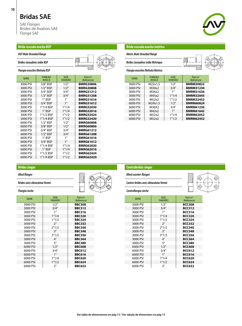### **Bridas SAE**

*SAE Flanges* Brides de fixation SAE *Flange SAE*



#### **Brida roscada macho BSP**

#### *BSP Male threaded flange*

| <b>Brides taraudées mâle BSP</b> |  |
|----------------------------------|--|
|                                  |  |



**AND** 

#### *Flangia maschio filettata BSP*

| <b>SERIE</b> | <b>THREAD</b><br><b>ROSCA</b> | <b>SIZE</b><br><b>TAMAÑO</b> | Part nº<br>Referencia |
|--------------|-------------------------------|------------------------------|-----------------------|
| 3000 PSI     | 3/8" BSP                      | 1/2"                         | <b>BMRG30806</b>      |
| 3000 PSI     | $1/2"$ BSP                    | 1/2"                         | <b>BMRG30808</b>      |
| 3000 PSI     | 3/4" BSP                      | 3/4"                         | <b>BMRG31212</b>      |
| 3000 PSI     | $1/2"$ BSP                    | 3/4"                         | <b>BMRG31208</b>      |
| 3000 PSI     | 1" BSP                        | 1"                           | <b>BMRG31616</b>      |
| 3000 PSI     | 3/4" BSP                      | 1"                           | <b>BMRG31612</b>      |
| 3000 PSI     | 1"1/4 BSP                     | 1"1/4                        | <b>BMRG32020</b>      |
| 3000 PSI     | 1" BSP                        | 1"1/4                        | <b>BMRG32016</b>      |
| 3000 PSI     | 1"1/2 BSP                     | 1"1/2                        | <b>BMRG32424</b>      |
| 3000 PSI     | 1"1/4 BSP                     | 1"1/2                        | <b>BMRG32420</b>      |
| 6000 PSI     | $1/2"$ BSP                    | 1/2"                         | <b>BMRG60808</b>      |
| 6000 PSI     | 3/8" BSP                      | 1/2"                         | <b>BMRG60806</b>      |
| 6000 PSI     | 3/4" BSP                      | 3/4"                         | <b>BMRG61212</b>      |
| 6000 PSI     | 1/2" BSP                      | 3/4"                         | <b>BMRG61208</b>      |
| 6000 PSI     | 1" BSP                        | 1"                           | <b>BMRG61616</b>      |
| 6000 PSI     | 3/4" BSP                      | 1"                           | <b>BMRG61612</b>      |
| 6000 PSI     | 1"1/4 BSP                     | 1"1/4                        | <b>BMRG62020</b>      |
| 6000 PSI     | 1" BSP                        | 1"1/4                        | <b>BMRG62016</b>      |
| 6000 PSI     | 1"1/2 BSP                     | 1"1/2                        | <b>BMRG62424</b>      |
| 6000 PSI     | 1"1/4 BSP                     | 1"1/2                        | <b>BMRG62420</b>      |

#### **Brida roscada macho métrico**

*Metric Malethreaded flange*

**Brides taraudées mâle Métrique** 



| <b>SERIE</b> | <b>THREAD</b><br><b>ROSCA</b> | <b>SIZE</b><br><b>TAMAÑO</b> | Part nº<br>Referencia |
|--------------|-------------------------------|------------------------------|-----------------------|
| 3000 PSI     | M22x1,5                       | 1/2"                         | <b>BMRM30822</b>      |
| 3000 PSI     | M30x2                         | 3/4"                         | <b>BMRM31230</b>      |
| 3000 PSI     | M36x2                         | 1"                           | <b>BMRM31636</b>      |
| 3000 PSI     | M45x2                         | 1"1/4                        | <b>BMRM32045</b>      |
| 3000 PSI     | M52x2                         | 1"1/2                        | <b>BMRM32452</b>      |
| 6000 PSI     | M24x1.5                       | 1/2"                         | <b>BMRM60824</b>      |
| 6000 PSI     | M36X2                         | 3/4"                         | <b>BMRM61236</b>      |
| 6000 PSI     | M42x2                         | 1"                           | <b>BMRM61642</b>      |
| 6000 PSI     | M52x2                         | 1"1/4                        | <b>BMRM62052</b>      |
| 6000 PSI     | M52x2                         | 1"1/2                        | <b>BMRM62452</b>      |

### **Bridas ciegas**

*Blind flanges*

**Bridesavec obturateur fermé**

#### *Flangia cieche*

| <b>SERIE</b> | SIZE<br><b>TAMAÑO</b> | Part nº<br>Referencia |
|--------------|-----------------------|-----------------------|
| 3000 PSI     | 1/2"                  | <b>BBC308</b>         |
| 3000 PSI     | 3/4"                  | <b>BBC312</b>         |
| 3000 PSI     | 1"                    | <b>BBC316</b>         |
| 3000 PSI     | 1"1/4                 | <b>BBC320</b>         |
| 3000 PSI     | 1"1/2                 | <b>BBC324</b>         |
| 3000 PSI     | 2"                    | <b>BBC332</b>         |
| 3000 PSI     | 2"1/2                 | <b>BBC340</b>         |
| 3000 PSI     | 3"                    | <b>BBC348</b>         |
| 3000 PSI     | 3"1/2                 | <b>BBC356</b>         |
| 3000 PSI     | 4"                    | <b>BBC364</b>         |
| 3000 PSI     | 5"                    | <b>BBC380</b>         |
| 6000 PSI     | 1/2"                  | <b>BBC608</b>         |
| 6000 PSI     | 3/4"                  | <b>BBC612</b>         |
| 6000 PSI     | 1"                    | <b>BBC616</b>         |
| 6000 PSI     | 1"1/4                 | <b>BBC620</b>         |
| 6000 PSI     | 1"1/2                 | <b>BBC624</b>         |
| 6000 PSI     | ን"                    | <b>BBC632</b>         |



### **Contrabridas ciegas** *Blind counter-flanges*

**Contre-bridesavec obturateur fermé**



*Controflangia cieche*

| <b>SERIE</b> | <b>SIZE</b><br><b>TAMAÑO</b> | Part nº<br>Referencia |
|--------------|------------------------------|-----------------------|
| 3000 PSI     | 1/2"                         | <b>BCC308</b>         |
| 3000 PSI     | 3/4"                         | <b>BCC312</b>         |
| 3000 PSI     | 1"                           | <b>BCC316</b>         |
| 3000 PSI     | 1"1/4                        | <b>BCC320</b>         |
| 3000 PSI     | 1"1/2                        | <b>BCC324</b>         |
| 3000 PSI     | 2"                           | <b>BCC332</b>         |
| 3000 PSI     | 2"1/2                        | <b>BCC340</b>         |
| 3000 PSI     | 3"                           | <b>BCC348</b>         |
| 3000 PSI     | 3"1/2                        | <b>BCC356</b>         |
| 3000 PSI     | 4"                           | <b>BCC364</b>         |
| 3000 PSI     | 5"                           | <b>BCC380</b>         |
| 6000 PSI     | 1/2"                         | <b>BCC608</b>         |
| 6000 PSI     | 3/4"                         | <b>BCC612</b>         |
| 6000 PSI     | 1"                           | <b>BCC616</b>         |
| 6000 PSI     | 1"1/4                        | <b>BCC620</b>         |
| 6000 PSI     | 1"1/2                        | <b>BCC624</b>         |
| 6000 PSI     | ን"                           | <b>BCC632</b>         |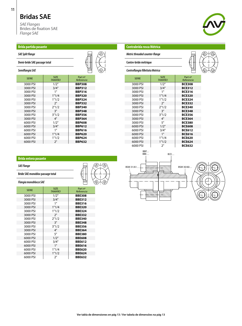# **Bridas SAE**

*SAE Flanges* Brides de fixation SAE *Flange SAE*



#### **Brida partida pasante**

#### *SAE Split flange*

#### **Demi-bride SAE passage total**

| Semiflangia SAE |                       |                       |
|-----------------|-----------------------|-----------------------|
| <b>SERIE</b>    | <b>SIZE</b><br>TAMAÑO | Part nº<br>Referencia |
| 3000 PSI        | 1/2"                  | <b>BBP308</b>         |
| 3000 PSI        | 3/4"                  | <b>BBP312</b>         |
| 3000 PSI        | 1"                    | <b>BBP316</b>         |
| 3000 PSI        | 1"1/4                 | <b>BBP320</b>         |
| 3000 PSI        | 1"1/2                 | <b>BBP324</b>         |
| 3000 PSI        | 2"                    | <b>BBP332</b>         |
| 3000 PSI        | 2"1/2                 | <b>BBP340</b>         |
| 3000 PSI        | 3"                    | <b>BBP348</b>         |
| 3000 PSI        | 3"1/2                 | <b>BBP356</b>         |
| 3000 PSI        | 4"                    | <b>BBP364</b>         |
| 6000 PSI        | 1/2"                  | <b>BBP608</b>         |
| 6000 PSI        | 3/4"                  | <b>BBP612</b>         |
| 6000 PSI        | 1"                    | <b>BBP616</b>         |
| 6000 PSI        | 1"1/4                 | <b>BBP620</b>         |

6000 PSI 1"1/2 **BBP624**

 $\bigoplus\mathcal{A}\oplus$ 

 $\oplus$ 

#### **Contrabrida rosca Métrica**

*Metric threaded counter-flange*

**Contre-bridemétrique**

#### *Controflangia fillettataMetrica*



| <b>SERIE</b> | <b>SIZE</b><br><b>TAMAÑO</b> | Part nº<br>Referencia |
|--------------|------------------------------|-----------------------|
| 3000 PSI     | 1/2"                         | <b>BCE308</b>         |
| 3000 PSI     | 3/4"                         | <b>BCE312</b>         |
| 3000 PSI     | 1"                           | <b>BCE316</b>         |
| 3000 PSI     | 1"1/4                        | <b>BCE320</b>         |
| 3000 PSI     | 1"1/2                        | <b>BCE324</b>         |
| 3000 PSI     | 2"                           | <b>BCE332</b>         |
| 3000 PSI     | 2"1/2                        | <b>BCE340</b>         |
| 3000 PSI     | 3"                           | <b>BCE348</b>         |
| 3000 PSI     | 3"1/2                        | <b>BCE356</b>         |
| 3000 PSI     | 4"                           | <b>BCE364</b>         |
| 3000 PSI     | 5"                           | <b>BCE380</b>         |
| 6000 PSI     | 1/2"                         | <b>BCE608</b>         |
| 6000 PSI     | 3/4"                         | <b>BCE612</b>         |
| 6000 PSI     | 1"                           | <b>BCE616</b>         |
| 6000 PSI     | 1"1/4                        | <b>BCE620</b>         |
| 6000 PSI     | 1"1/2                        | <b>BCE624</b>         |
| 6000 PSI     | 2"                           | <b>BCE632</b>         |



### **Brida entera pasante** *SAE Flange*

6000 PSI 2" **BBP632**

**Bride SAE monobloc passage total** 

#### *Flangia monoblocco SAE*

| <b>SERIE</b> | <b>SIZE</b><br><b>TAMAÑO</b> | Part nº<br>Referencia |
|--------------|------------------------------|-----------------------|
| 3000 PSI     | 1/2"                         | <b>BBE308</b>         |
| 3000 PSI     | 3/4"                         | <b>BBE312</b>         |
| 3000 PSI     | 1"                           | <b>BBE316</b>         |
| 3000 PSI     | 1"1/4                        | <b>BBE320</b>         |
| 3000 PSI     | 1"1/2                        | <b>BBE324</b>         |
| 3000 PSI     | 2"                           | <b>BBE332</b>         |
| 3000 PSI     | 2"1/2                        | <b>BBE340</b>         |
| 3000 PSI     | 3"                           | <b>BBE348</b>         |
| 3000 PSI     | 3"1/2                        | <b>BBE356</b>         |
| 3000 PSI     | 4"                           | <b>BBE364</b>         |
| 3000 PSI     | 5"                           | <b>BBE380</b>         |
| 6000 PSI     | 1/2"                         | <b>BBE608</b>         |
| 6000 PSI     | 3/4"                         | <b>BBE612</b>         |
| 6000 PSI     | 1"                           | <b>BBE616</b>         |
| 6000 PSI     | 1"1/4                        | <b>BBE620</b>         |
| 6000 PSI     | 1"1/2                        | <b>BBE624</b>         |
| 6000 PSI     | 2"                           | <b>BBE632</b>         |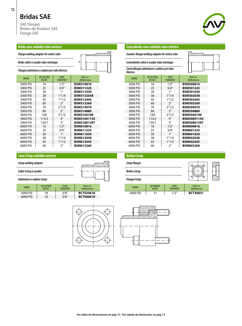*SAE Flanges* Brides de fixation SAE *Flange SAE*



#### **Brida cono soldable tubo métrico**

*Flangia adattatore a saldare pertubo Metrico*

| <b>SERIE</b> | Ø OUTER<br>ØEXT. | <b>SIZE</b><br>TAMAÑO | Part nº<br>Referencia |
|--------------|------------------|-----------------------|-----------------------|
| 3000 PSI     | 16               | 1/2"                  | <b>BSM310816</b>      |
| 3000 PSI     | 25               | 3/4"                  | <b>BSM311225</b>      |
| 3000 PSI     | 30               | 1"                    | <b>BSM311630</b>      |
| 3000 PSI     | 38               | 1"1/4                 | <b>BSM3132038</b>     |
| 3000 PSI     | 45               | 1"1/2                 | <b>BSM312445</b>      |
| 3000 PSI     | 60               | 2"                    | <b>BSM313260</b>      |
| 3000 PSI     | 70               | 2"1/2                 | <b>BSM314070</b>      |
| 3000 PSI     | 80               | 3"                    | <b>BSM314880</b>      |
| 3000 PSI     | 100              | 3"1/2                 | <b>BSM3156100</b>     |
| 3000 PSI     | 114.3            | 4"                    | BSM31641143           |
| 3000 PSI     | 139.7            | 5"                    | <b>BSM31801397</b>    |
| 6000 PSI     | 16               | 1/2"                  | <b>BSM610816</b>      |
| 6000 PSI     | 25               | 3/4"                  | <b>BSM611225</b>      |
| 6000 PSI     | 30               | 1"                    | <b>BSM611630</b>      |
| 6000 PSI     | 38               | 1"1/4                 | <b>BSM612038</b>      |
| 6000 PSI     | 45               | 1"1/2                 | <b>BSM612445</b>      |
| 6000 PSI     | 60               | ን"                    | <b>BSM613260</b>      |

Ø

#### **Cono Cetop soldable exterior**

| Cetop welding adaptor |  |  |
|-----------------------|--|--|
|-----------------------|--|--|

**Collet Cetop à souder** 

| Adattatore a saldare Cetop |
|----------------------------|

| <b>SERIE</b> | Ø OUTER<br>ØEXT. | SI <sub>7</sub> F<br><b>TAMAÑO</b> | Part nº<br>Referencia |
|--------------|------------------|------------------------------------|-----------------------|
| 3000 PSI     | 18               | 3/8"                               | <b>BCTS3061</b>       |
| 6000 PSI     | 18               | 3/8"                               | <b>BCTS6061</b>       |



### 3000 PSI 18 3/8" **BCTS30618** 6000 PSI 18 3/8" **BCTS60618**

 $\overline{\mathcal{C}}$  $\overline{\mathbb{G}}$ 

#### **Contrabrida cono soldable tubo métrico**

*Counter-flangewelding adaptor for metrictube*

**Contrebridecolletàsouder tubemétrique** *Controflangia adattatore a saldare pertubo Metrico*

| <b>SERIE</b> | Ø OUTER<br>Ø EXT. | <b>SIZE</b><br><b>TAMAÑO</b> | Part nº<br>Referencia |
|--------------|-------------------|------------------------------|-----------------------|
| 3000 PSI     | 16                | 1/2"                         | <b>BSM300816</b>      |
| 3000 PSI     | 25                | 3/4"                         | <b>BSM301225</b>      |
| 3000 PSI     | 30                | 1"                           | <b>BSM301630</b>      |
| 3000 PSI     | 38                | 1"1/4                        | <b>BSM302038</b>      |
| 3000 PSI     | 45                | 1"1/2                        | <b>BSM302445</b>      |
| 3000 PSI     | 60                | 2"                           | <b>BSM303260</b>      |
| 3000 PSI     | 70                | 2"1/2                        | <b>BSM304070</b>      |
| 3000 PSI     | 80                | 3"                           | <b>BSM304880</b>      |
| 3000 PSI     | 100               | 3"1/2                        | <b>BSM3056100</b>     |
| 3000 PSI     | 114.3             | 4"                           | <b>BSM30641143</b>    |
| 3000 PSI     | 139.7             | 5"                           | <b>BSM30801397</b>    |
| 6000 PSI     | 16                | 1/2"                         | <b>BSM600816</b>      |
| 6000 PSI     | 25                | 3/4"                         | <b>BSM601225</b>      |
| 6000 PSI     | 30                | 1"                           | <b>BSM601630</b>      |
| 6000 PSI     | 38                | 1"1/4                        | <b>BSM602038</b>      |
| 6000 PSI     | 45                | 1"1/2                        | <b>BSM602445</b>      |
| 6000 PSI     | 60                | 2"                           | <b>BSM603260</b>      |



| Part nº<br>Referencia |
|-----------------------|
| <b>BSM300816</b>      |
| <b>BSM301225</b>      |
| BSM301630             |
| <b>BSM302038</b>      |
| <b>BSM302445</b>      |
| <b>BSM303260</b>      |
| <b>BSM304070</b>      |
| <b>BSM304880</b>      |
| BSM3056100            |
| <b>BSM30641143</b>    |
| BSM30801397           |
| <b>BSM600816</b>      |
| BSM601225             |
| <b>BSM601630</b>      |
| BSM602038             |
| <b>BSM602445</b>      |
| RSM603760             |

**Bridas Cetop**

| <b>Cetop flanges</b> |                     |                              |                       |  |
|----------------------|---------------------|------------------------------|-----------------------|--|
| <b>Brides Cetop</b>  |                     |                              |                       |  |
| <b>Flangia Cetop</b> |                     |                              |                       |  |
| <b>SERIE</b>         | Ø INNER<br>$Ø$ INT. | <b>SIZE</b><br><b>TAMAÑO</b> | Part nº<br>Referencia |  |
| 3000 PSI             | ว                   | 1/2"                         | <b>BCT30831</b>       |  |